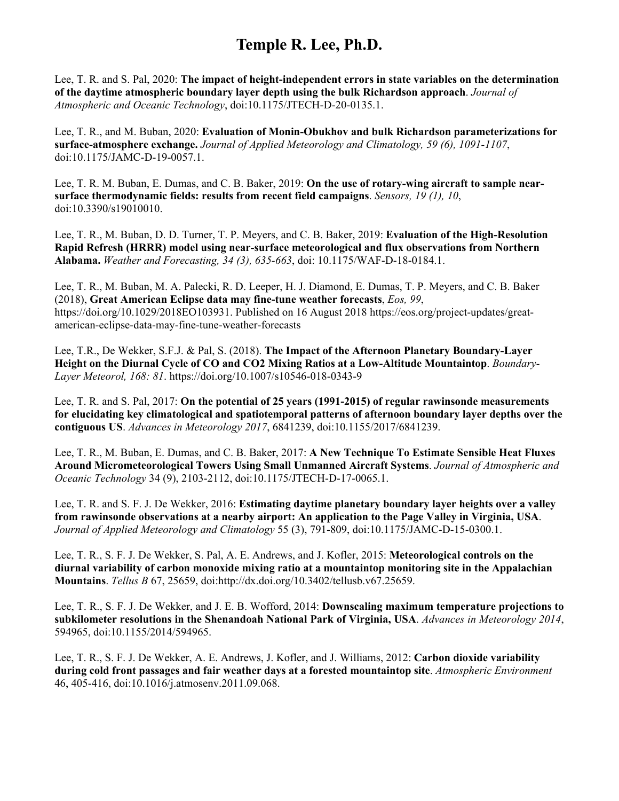## **Temple R. Lee, Ph.D.**

Lee, T. R. and S. Pal, 2020: **The impact of height-independent errors in state variables on the determination of the daytime atmospheric boundary layer depth using the bulk Richardson approach**. *Journal of Atmospheric and Oceanic Technology*, doi:10.1175/JTECH-D-20-0135.1.

Lee, T. R., and M. Buban, 2020: **Evaluation of Monin-Obukhov and bulk Richardson parameterizations for surface-atmosphere exchange.** *Journal of Applied Meteorology and Climatology, 59 (6), 1091-1107*, doi:10.1175/JAMC-D-19-0057.1.

Lee, T. R. M. Buban, E. Dumas, and C. B. Baker, 2019: **On the use of rotary-wing aircraft to sample nearsurface thermodynamic fields: results from recent field campaigns**. *Sensors, 19 (1), 10*, doi:10.3390/s19010010.

Lee, T. R., M. Buban, D. D. Turner, T. P. Meyers, and C. B. Baker, 2019: **Evaluation of the High-Resolution Rapid Refresh (HRRR) model using near-surface meteorological and flux observations from Northern Alabama.** *Weather and Forecasting, 34 (3), 635-663*, doi: 10.1175/WAF-D-18-0184.1.

Lee, T. R., M. Buban, M. A. Palecki, R. D. Leeper, H. J. Diamond, E. Dumas, T. P. Meyers, and C. B. Baker (2018), **Great American Eclipse data may fine-tune weather forecasts**, *Eos, 99*, https://doi.org/10.1029/2018EO103931. Published on 16 August 2018 https://eos.org/project-updates/greatamerican-eclipse-data-may-fine-tune-weather-forecasts

Lee, T.R., De Wekker, S.F.J. & Pal, S. (2018). **The Impact of the Afternoon Planetary Boundary-Layer Height on the Diurnal Cycle of CO and CO2 Mixing Ratios at a Low-Altitude Mountaintop**. *Boundary-Layer Meteorol, 168: 81*. https://doi.org/10.1007/s10546-018-0343-9

Lee, T. R. and S. Pal, 2017: **On the potential of 25 years (1991-2015) of regular rawinsonde measurements for elucidating key climatological and spatiotemporal patterns of afternoon boundary layer depths over the contiguous US**. *Advances in Meteorology 2017*, 6841239, doi:10.1155/2017/6841239.

Lee, T. R., M. Buban, E. Dumas, and C. B. Baker, 2017: **A New Technique To Estimate Sensible Heat Fluxes Around Micrometeorological Towers Using Small Unmanned Aircraft Systems**. *Journal of Atmospheric and Oceanic Technology* 34 (9), 2103-2112, doi:10.1175/JTECH-D-17-0065.1.

Lee, T. R. and S. F. J. De Wekker, 2016: **Estimating daytime planetary boundary layer heights over a valley from rawinsonde observations at a nearby airport: An application to the Page Valley in Virginia, USA**. *Journal of Applied Meteorology and Climatology* 55 (3), 791-809, doi:10.1175/JAMC-D-15-0300.1.

Lee, T. R., S. F. J. De Wekker, S. Pal, A. E. Andrews, and J. Kofler, 2015: **Meteorological controls on the diurnal variability of carbon monoxide mixing ratio at a mountaintop monitoring site in the Appalachian Mountains**. *Tellus B* 67, 25659, doi:http://dx.doi.org/10.3402/tellusb.v67.25659.

Lee, T. R., S. F. J. De Wekker, and J. E. B. Wofford, 2014: **Downscaling maximum temperature projections to subkilometer resolutions in the Shenandoah National Park of Virginia, USA**. *Advances in Meteorology 2014*, 594965, doi:10.1155/2014/594965.

Lee, T. R., S. F. J. De Wekker, A. E. Andrews, J. Kofler, and J. Williams, 2012: **Carbon dioxide variability during cold front passages and fair weather days at a forested mountaintop site**. *Atmospheric Environment*  46, 405-416, doi:10.1016/j.atmosenv.2011.09.068.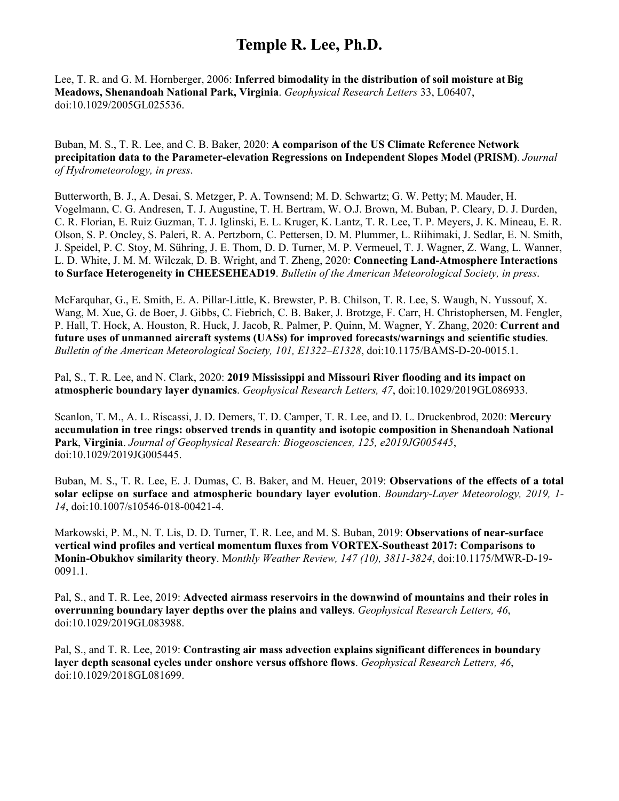## **Temple R. Lee, Ph.D.**

Lee, T. R. and G. M. Hornberger, 2006: **Inferred bimodality in the distribution of soil moisture at Big Meadows, Shenandoah National Park, Virginia**. *Geophysical Research Letters* 33, L06407, doi:10.1029/2005GL025536.

Buban, M. S., T. R. Lee, and C. B. Baker, 2020: **A comparison of the US Climate Reference Network precipitation data to the Parameter-elevation Regressions on Independent Slopes Model (PRISM)**. *Journal of Hydrometeorology, in press*.

Butterworth, B. J., A. Desai, S. Metzger, P. A. Townsend; M. D. Schwartz; G. W. Petty; M. Mauder, H. Vogelmann, C. G. Andresen, T. J. Augustine, T. H. Bertram, W. O.J. Brown, M. Buban, P. Cleary, D. J. Durden, C. R. Florian, E. Ruiz Guzman, T. J. Iglinski, E. L. Kruger, K. Lantz, T. R. Lee, T. P. Meyers, J. K. Mineau, E. R. Olson, S. P. Oncley, S. Paleri, R. A. Pertzborn, C. Pettersen, D. M. Plummer, L. Riihimaki, J. Sedlar, E. N. Smith, J. Speidel, P. C. Stoy, M. Sühring, J. E. Thom, D. D. Turner, M. P. Vermeuel, T. J. Wagner, Z. Wang, L. Wanner, L. D. White, J. M. M. Wilczak, D. B. Wright, and T. Zheng, 2020: **Connecting Land-Atmosphere Interactions to Surface Heterogeneity in CHEESEHEAD19**. *Bulletin of the American Meteorological Society, in press*.

McFarquhar, G., E. Smith, E. A. Pillar-Little, K. Brewster, P. B. Chilson, T. R. Lee, S. Waugh, N. Yussouf, X. Wang, M. Xue, G. de Boer, J. Gibbs, C. Fiebrich, C. B. Baker, J. Brotzge, F. Carr, H. Christophersen, M. Fengler, P. Hall, T. Hock, A. Houston, R. Huck, J. Jacob, R. Palmer, P. Quinn, M. Wagner, Y. Zhang, 2020: **Current and future uses of unmanned aircraft systems (UASs) for improved forecasts/warnings and scientific studies**. *Bulletin of the American Meteorological Society, 101, E1322–E1328*, doi:10.1175/BAMS-D-20-0015.1.

Pal, S., T. R. Lee, and N. Clark, 2020: **2019 Mississippi and Missouri River flooding and its impact on atmospheric boundary layer dynamics**. *Geophysical Research Letters, 47*, doi:10.1029/2019GL086933.

Scanlon, T. M., A. L. Riscassi, J. D. Demers, T. D. Camper, T. R. Lee, and D. L. Druckenbrod, 2020: **Mercury accumulation in tree rings: observed trends in quantity and isotopic composition in Shenandoah National Park**, **Virginia**. *Journal of Geophysical Research: Biogeosciences, 125, e2019JG005445*, doi:10.1029/2019JG005445.

Buban, M. S., T. R. Lee, E. J. Dumas, C. B. Baker, and M. Heuer, 2019: **Observations of the effects of a total solar eclipse on surface and atmospheric boundary layer evolution**. *Boundary-Layer Meteorology, 2019, 1- 14*, doi:10.1007/s10546-018-00421-4.

Markowski, P. M., N. T. Lis, D. D. Turner, T. R. Lee, and M. S. Buban, 2019: **Observations of near-surface vertical wind profiles and vertical momentum fluxes from VORTEX-Southeast 2017: Comparisons to Monin-Obukhov similarity theory**. M*onthly Weather Review, 147 (10), 3811-3824*, doi:10.1175/MWR-D-19- 0091.1.

Pal, S., and T. R. Lee, 2019: **Advected airmass reservoirs in the downwind of mountains and their roles in overrunning boundary layer depths over the plains and valleys**. *Geophysical Research Letters, 46*, doi:10.1029/2019GL083988.

Pal, S., and T. R. Lee, 2019: **Contrasting air mass advection explains significant differences in boundary layer depth seasonal cycles under onshore versus offshore flows**. *Geophysical Research Letters, 46*, doi:10.1029/2018GL081699.